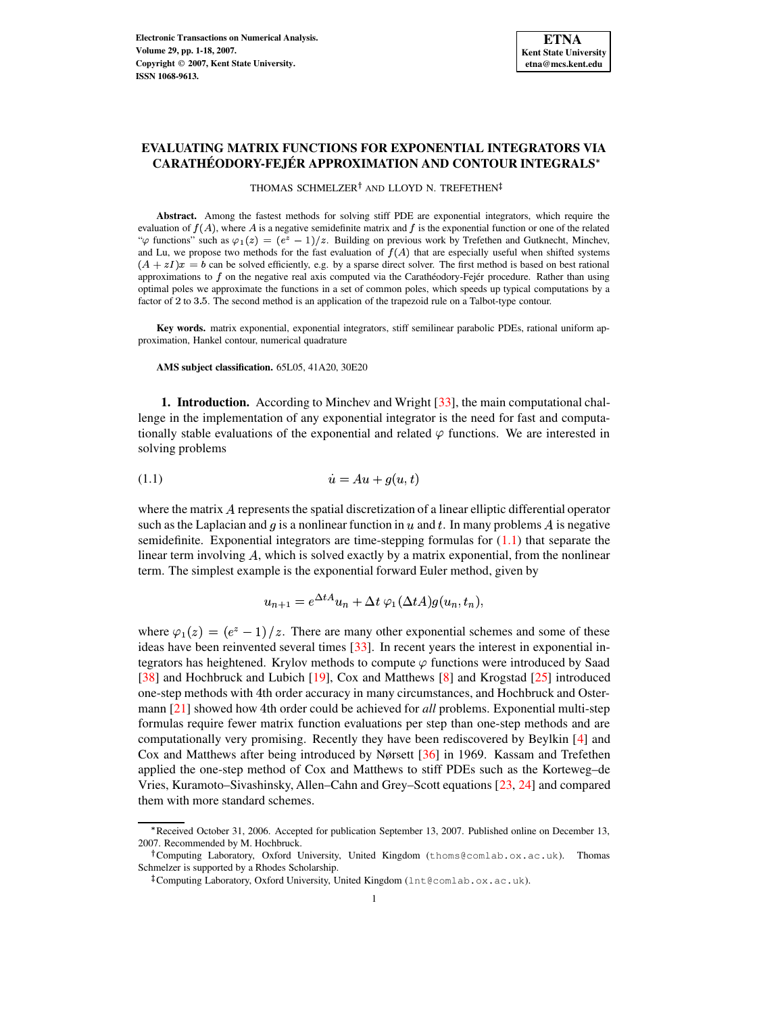# **EVALUATING MATRIX FUNCTIONS FOR EXPONENTIAL INTEGRATORS VIA CARATHÉODORY-FEJÉR APPROXIMATION AND CONTOUR INTEGRALS**

THOMAS SCHMELZER<sup>†</sup> AND LLOYD N. TREFETHEN

Abstract. Among the fastest methods for solving stiff PDE are exponential integrators, which require the evaluation of  $f(A)$ , where A is a negative semidefinite matrix and f is the exponential function or one of the related " $\varphi$  functions" such as  $\varphi_1(z) = (e^z - 1)/z$ . Building on previous work by Trefethen and Gutknecht, Minchev, and Lu, we propose two methods for the fast evaluation of  $f(A)$  that are especially useful when shifted systems  $(A + zI)x = b$  can be solved efficiently, e.g. by a sparse direct solver. The first method is based on best rational approximations to  $f$  on the negative real axis computed via the Carathéodory-Fejér procedure. Rather than using optimal poles we approximate the functions in a set of common poles, which speeds up typical computations by a factor of 2 to 3.5. The second method is an application of the trapezoid rule on a Talbot-type contour.

**Key words.** matrix exponential, exponential integrators, stiff semilinear parabolic PDEs, rational uniform approximation, Hankel contour, numerical quadrature

**AMS subject classification.** 65L05, 41A20, 30E20

**1. Introduction.** According to Minchev and Wright [\[33\]](#page-17-0), the main computational challenge in the implementation of any exponential integrator is the need for fast and computationally stable evaluations of the exponential and related  $\varphi$  functions. We are interested in solving problems

<span id="page-0-0"></span>
$$
(1.1)\qquad \qquad \dot{u} = Au + g(u, t)
$$

where the matrix A represents the spatial discretization of a linear elliptic differential operator such as the Laplacian and g is a nonlinear function in u and t. In many problems A is negative semidefinite. Exponential integrators are time-stepping formulas for  $(1.1)$  that separate the linear term involving A, which is solved exactly by a matrix exponential, from the nonlinear term. The simplest example is the exponential forward Euler method, given by

$$
u_{n+1} = e^{\Delta t A} u_n + \Delta t \varphi_1(\Delta t A) g(u_n, t_n),
$$

where  $\varphi_1(z) = (e^z - 1)/z$ . There are many other exponential schemes and some of these ideas have been reinvented several times [\[33\]](#page-17-0). In recent years the interest in exponential integrators has heightened. Krylov methods to compute  $\varphi$  functions were introduced by Saad [\[38\]](#page-17-1) and Hochbruck and Lubich [\[19\]](#page-16-0), Cox and Matthews [\[8\]](#page-16-1) and Krogstad [\[25\]](#page-16-2) introduced one-step methods with 4th order accuracy in many circumstances, and Hochbruck and Oster-mann [\[21\]](#page-16-3) showed how 4th order could be achieved for *all* problems. Exponential multi-step formulas require fewer matrix function evaluations per step than one-step methods and are computationally very promising. Recently they have been rediscovered by Beylkin [\[4\]](#page-16-4) and Cox and Matthews after being introduced by Nørsett [\[36\]](#page-17-2) in 1969. Kassam and Trefethen applied the one-step method of Cox and Matthews to stiff PDEs such as the Korteweg–de Vries, Kuramoto–Sivashinsky, Allen–Cahn and Grey–Scott equations [\[23,](#page-16-5) [24\]](#page-16-6) and compared them with more standard schemes.

<sup>^</sup> Received October 31, 2006. Accepted for publication September 13, 2007. Published online on December 13, 2007. Recommended by M. Hochbruck.

Computing Laboratory, Oxford University, United Kingdom (thoms@comlab.ox.ac.uk). Thomas Schmelzer is supported by a Rhodes Scholarship.

 $^{\ddagger}$ Computing Laboratory, Oxford University, United Kingdom (1nt@comlab.ox.ac.uk).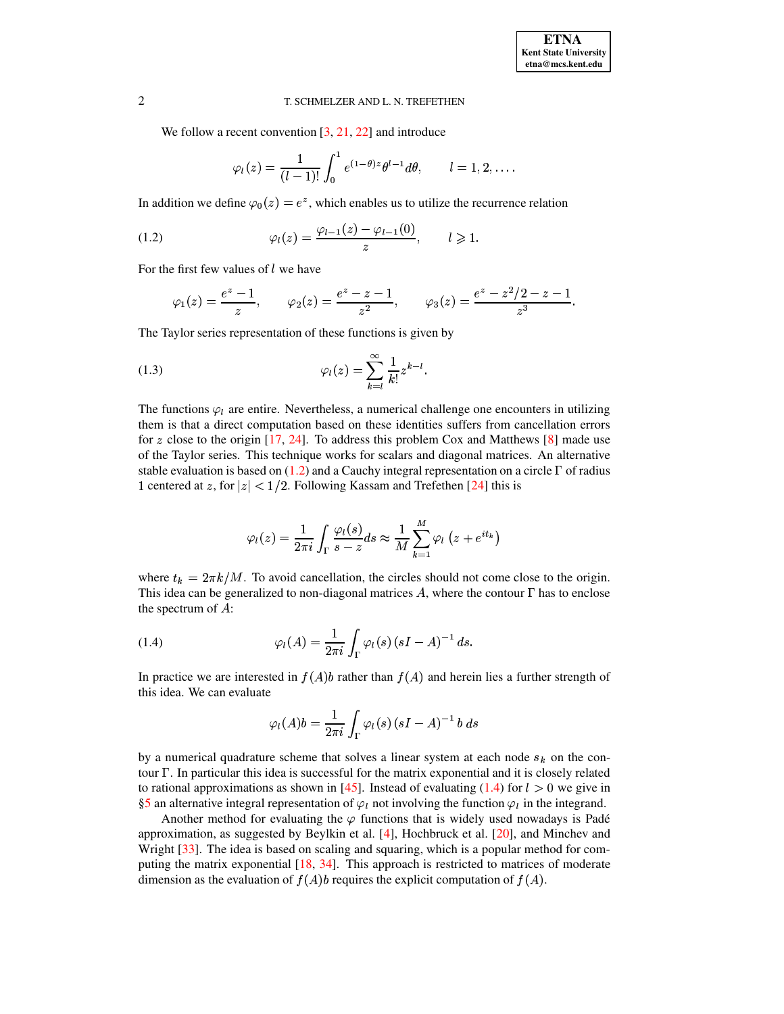We follow a recent convention [\[3,](#page-16-7) [21,](#page-16-3) [22\]](#page-16-8) and introduce

<span id="page-1-0"></span>
$$
\varphi_l(z) = \frac{1}{(l-1)!} \int_0^1 e^{(1-\theta)z} \theta^{l-1} d\theta, \qquad l = 1, 2, \dots
$$

In addition we define  $\varphi_0(z)=e^z$ , which enables us to utilize the recurrence relation

(1.2) 
$$
\varphi_l(z) = \frac{\varphi_{l-1}(z) - \varphi_{l-1}(0)}{z}, \qquad l \geq 1.
$$

For the first few values of  $l$  we have

<span id="page-1-2"></span>
$$
\varphi_1(z) = \frac{e^z - 1}{z}, \qquad \varphi_2(z) = \frac{e^z - z - 1}{z^2}, \qquad \varphi_3(z) = \frac{e^z - z^2/2 - z - 1}{z^3}.
$$

The Taylor series representation of these functions is given by

(1.3) 
$$
\varphi_l(z) = \sum_{k=l}^{\infty} \frac{1}{k!} z^{k-l}.
$$

The functions  $\varphi_l$  are entire. Nevertheless, a numerical challenge one encounters in utilizing them is that a direct computation based on these identities suffers from cancellation errors for z close to the origin  $[17, 24]$  $[17, 24]$  $[17, 24]$ . To address this problem Cox and Matthews  $[8]$  made use of the Taylor series. This technique works for scalars and diagonal matrices. An alternative stable evaluation is based on  $(1.2)$  and a Cauchy integral representation on a circle  $\Gamma$  of radius 1 centered at z, for  $|z| < 1/2$ . Following Kassam and Trefethen [\[24\]](#page-16-6) this is

$$
\varphi_l(z) = \frac{1}{2\pi i} \int_{\Gamma} \frac{\varphi_l(s)}{s - z} ds \approx \frac{1}{M} \sum_{k=1}^M \varphi_l\left(z + e^{i t_k}\right)
$$

where  $t_k = 2\pi k/M$ . To avoid cancellation, the circles should not come close to the origin. This idea can be generalized to non-diagonal matrices  $A$ , where the contour  $\Gamma$  has to enclose the spectrum of  $A$ :

<span id="page-1-1"></span>(1.4) 
$$
\varphi_l(A) = \frac{1}{2\pi i} \int_{\Gamma} \varphi_l(s) (sI - A)^{-1} ds.
$$

In practice we are interested in  $f(A)$  and herein lies a further strength of this idea. We can evaluate

$$
\varphi_l(A)b = \frac{1}{2\pi i} \int_{\Gamma} \varphi_l(s) \left(sI - A\right)^{-1} b \ ds
$$

by a numerical quadrature scheme that solves a linear system at each node  $s_k$  on the contour  $\Gamma$ . In particular this idea is successful for the matrix exponential and it is closely related to rational approximations as shown in [\[45\]](#page-17-3). Instead of evaluating [\(1.4\)](#page-1-1) for  $l > 0$  we give in [§5](#page-6-0) an alternative integral representation of  $\varphi_l$  not involving the function  $\varphi_l$  in the integrand.

Another method for evaluating the  $\varphi$  functions that is widely used nowadays is Padé approximation, as suggested by Beylkin et al. [\[4\]](#page-16-4), Hochbruck et al. [\[20\]](#page-16-10), and Minchev and Wright [\[33\]](#page-17-0). The idea is based on scaling and squaring, which is a popular method for computing the matrix exponential [\[18,](#page-16-11) [34\]](#page-17-4). This approach is restricted to matrices of moderate dimension as the evaluation of  $f(A)b$  requires the explicit computation of  $f(A)$ .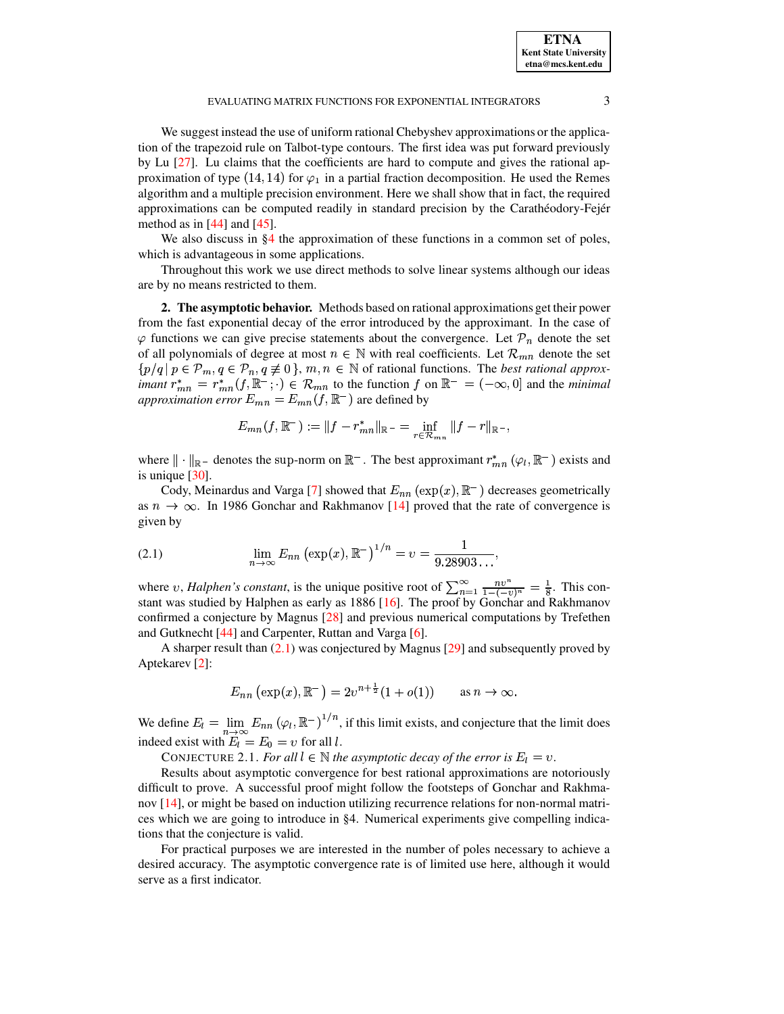We suggest instead the use of uniform rational Chebyshev approximations or the application of the trapezoid rule on Talbot-type contours. The first idea was put forward previously by Lu [\[27\]](#page-16-12). Lu claims that the coefficients are hard to compute and gives the rational approximation of type (14, 14) for  $\varphi_1$  in a partial fraction decomposition. He used the Remes algorithm and a multiple precision environment. Here we shall show that in fact, the required approximations can be computed readily in standard precision by the Carathéodory-Fejér method as in  $[44]$  and  $[45]$ .

We also discuss in [§4](#page-3-0) the approximation of these functions in a common set of poles, which is advantageous in some applications.

Throughout this work we use direct methods to solve linear systems although our ideas are by no means restricted to them.

**2. The asymptotic behavior.** Methods based on rational approximations get their power from the fast exponential decay of the error introduced by the approximant. In the case of  $\varphi$  functions we can give precise statements about the convergence. Let  $\mathcal{P}_n$  denote the set of all polynomials of degree at most  $n \in \mathbb{N}$  with real coefficients. Let  $\mathcal{R}_{mn}$  denote the set  $\{p/q \mid p \in \mathcal{P}_m, q \in \mathcal{P}_n, q \not\equiv 0\}, m, n \in \mathbb{N}$  of rational functions. The *best rational approximant*  $r_{mn}^* = r_{mn}^*(f, \mathbb{R}^-; \cdot) \in \mathcal{R}_{mn}$  to the function f on  $\mathbb{R}^- = (-\infty, 0]$  and the *minimal approximation error*  $E_{mn} = E_{mn}(f, \mathbb{R}^-)$  are defined by

$$
E_{mn}(f,\mathbb{R}^-):=\|f-r^*_{mn}\|_{\mathbb{R}^-}=\inf_{r\in\mathcal{R}_{mn}}\|f-r\|_{\mathbb{R}^-},
$$

where  $\|\cdot\|_{\mathbb{R}^-}$  denotes the sup-norm on  $\mathbb{R}^-$ . The best approximant  $r^*_{mn}(\varphi_i,\mathbb{R}^-)$  exists and is unique [\[30\]](#page-16-13).

Cody, Meinardus and Varga [\[7\]](#page-16-14) showed that  $E_{nn}(\exp(x), \mathbb{R}^{-})$  decreases geometrically as  $n \to \infty$ . In 1986 Gonchar and Rakhmanov [\[14\]](#page-16-15) proved that the rate of convergence is given by

<span id="page-2-0"></span>(2.1) 
$$
\lim_{n \to \infty} E_{nn} (\exp(x), \mathbb{R}^{-})^{1/n} = v = \frac{1}{9.28903\dots},
$$

where v, *Halphen's constant*, is the unique positive root of  $\sum_{n=1}^{\infty} \frac{nv^n}{1-(-v)^n} = \frac{1}{8}$  $\frac{nv^n}{1-(-v)^n} = \frac{1}{8}$ . This constant was studied by Halphen as early as 1886 [\[16\]](#page-16-16). The proof by Gonchar and Rakhmanov confirmed a conjecture by Magnus [\[28\]](#page-16-17) and previous numerical computations by Trefethen and Gutknecht [\[44\]](#page-17-5) and Carpenter, Ruttan and Varga [\[6\]](#page-16-18).

A sharper result than [\(2.1\)](#page-2-0) was conjectured by Magnus [\[29\]](#page-16-19) and subsequently proved by Aptekarev [\[2\]](#page-16-20):

$$
E_{nn}(\exp(x), \mathbb{R}^-) = 2v^{n+\frac{1}{2}}(1 + o(1))
$$
 as  $n \to \infty$ .

<span id="page-2-1"></span>We define  $E_l = \lim E_{nn} (\varphi_l, \mathbb{R}^-)^{1/2}$ }  $E_{nn}$  ( $\varphi_l$ ,  $\mathbb{R}^-$ )<sup>1/n</sup>, if this limit exists, and conjecture that the limit does indeed exist with  $E_l = E_0 = v$  for all l.

CONJECTURE 2.1. *For all*  $l \in \mathbb{N}$  *the asymptotic decay of the error is*  $E_l = v$ .

Results about asymptotic convergence for best rational approximations are notoriously difficult to prove. A successful proof might follow the footsteps of Gonchar and Rakhmanov [\[14\]](#page-16-15), or might be based on induction utilizing recurrence relations for non-normal matrices which we are going to introduce in §4. Numerical experiments give compelling indications that the conjecture is valid.

For practical purposes we are interested in the number of poles necessary to achieve a desired accuracy. The asymptotic convergence rate is of limited use here, although it would serve as a first indicator.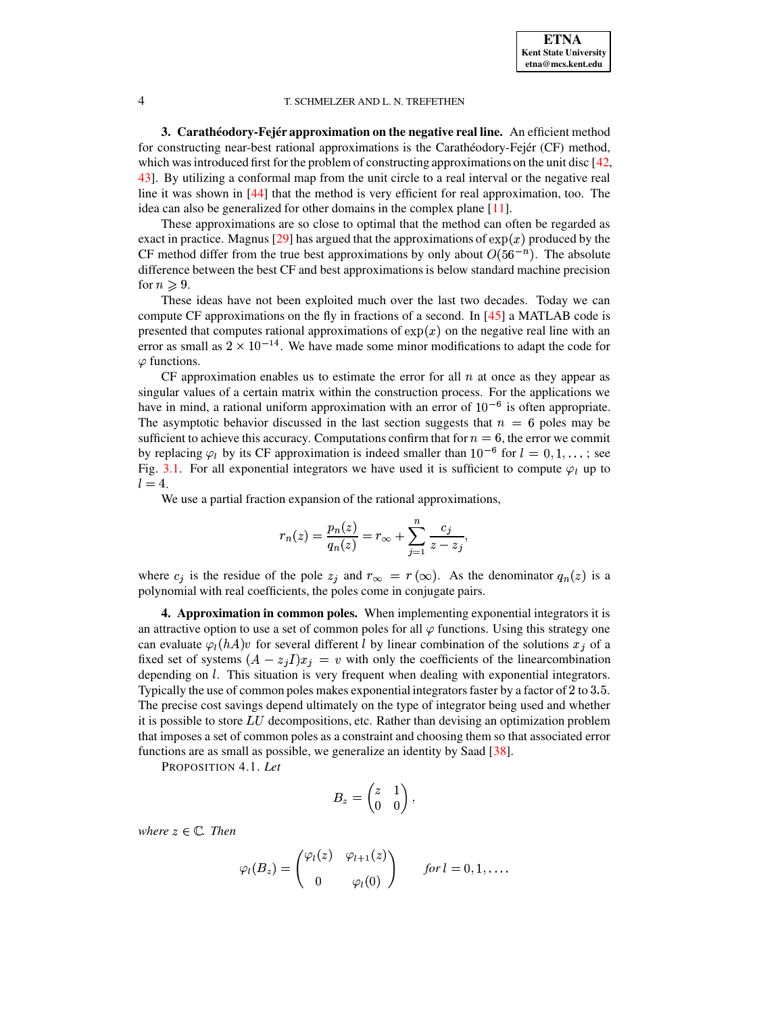**3. Carathéodory-Fejér approximation on the negative real line.** An efficient method for constructing near-best rational approximations is the Carathéodory-Fejér (CF) method, which was introduced first for the problem of constructing approximations on the unit disc [\[42,](#page-17-6) [43\]](#page-17-7). By utilizing a conformal map from the unit circle to a real interval or the negative real line it was shown in [\[44\]](#page-17-5) that the method is very efficient for real approximation, too. The idea can also be generalized for other domains in the complex plane [\[11\]](#page-16-21).

These approximations are so close to optimal that the method can often be regarded as exact in practice. Magnus [\[29\]](#page-16-19) has argued that the approximations of  $\exp(x)$  produced by the CF method differ from the true best approximations by only about  $O(56^{-n})$ . The absolute difference between the best CF and best approximations is below standard machine precision for  $n \geqslant 9$ .

These ideas have not been exploited much over the last two decades. Today we can compute CF approximations on the fly in fractions of a second. In [\[45\]](#page-17-3) a MATLAB code is presented that computes rational approximations of  $exp(x)$  on the negative real line with an error as small as  $2 \times 10^{-14}$ . We have made some minor modifications to adapt the code for  $\varphi$  functions.

CF approximation enables us to estimate the error for all  $n$  at once as they appear as singular values of a certain matrix within the construction process. For the applications we have in mind, a rational uniform approximation with an error of  $10^{-6}$  is often appropriate. The asymptotic behavior discussed in the last section suggests that  $n = 6$  poles may be sufficient to achieve this accuracy. Computations confirm that for  $n = 6$ , the error we commit by replacing  $\varphi_l$  by its CF approximation is indeed smaller than  $10^{-6}$  for  $l = 0, 1, \ldots$ ; see Fig. [3.1.](#page-13-0) For all exponential integrators we have used it is sufficient to compute  $\varphi_l$  up to  $l=4.$ 

We use a partial fraction expansion of the rational approximations,

$$
r_n(z)=\frac{p_n(z)}{q_n(z)}=r_\infty+\sum_{j=1}^n\frac{c_j}{z-z_j},
$$

where  $c_j$  is the residue of the pole  $z_j$  and  $r_{\infty} = r(\infty)$ . As the denominator  $q_n(z)$  is a notupomial with real coefficients the poles come in conjugate poirs <sup>æ</sup> polynomial with real coefficients, the poles come in conjugate pairs.

<span id="page-3-0"></span>**4. Approximation in common poles.** When implementing exponential integrators it is an attractive option to use a set of common poles for all  $\varphi$  functions. Using this strategy one can evaluate  $\varphi_l(hA)v$  for several different l by linear combination of the solutions  $x_j$  of a fixed set of systems  $(A - z_jI)x_j = v$  with only the coefficients of the linearcombination depending on *l*. This situation is very frequent when dealing with exponential integrators. Typically the use of common poles makes exponential integrators faster by a factor of  $2$  to  $3.5$ . The precise cost savings depend ultimately on the type of integrator being used and whether it is possible to store  $LU$  decompositions, etc. Rather than devising an optimization problem that imposes a set of common poles as a constraint and choosing them so that associated error functions are as small as possible, we generalize an identity by Saad [\[38\]](#page-17-1).

PROPOSITION 4.1. *Let*

$$
B_z=\begin{pmatrix} z & 1 \\ 0 & 0 \end{pmatrix},\quad
$$

 $where  $z \in \mathbb{C}$ *. Then*$ 

$$
\varphi_l(B_z) = \begin{pmatrix} \varphi_l(z) & \varphi_{l+1}(z) \\ 0 & \varphi_l(0) \end{pmatrix} \quad \text{for } l = 0, 1, \dots.
$$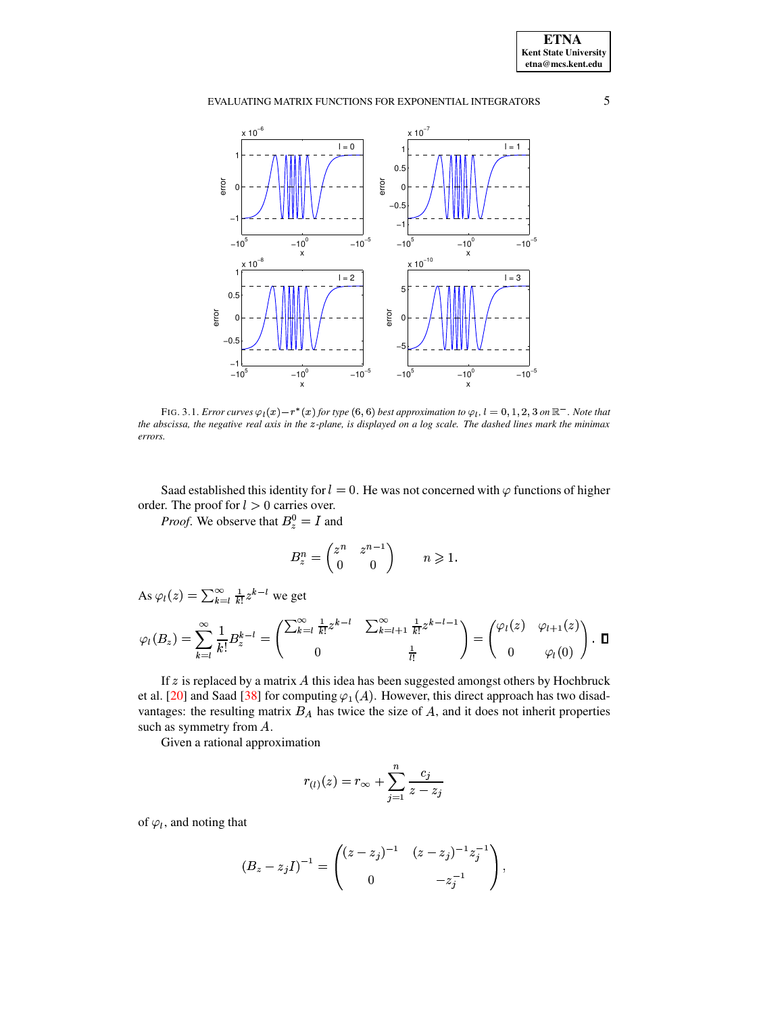

FIG. 3.1. Error curves  $\varphi_l(x) - r^*(x)$  for type (6, 6) best approximation to  $\varphi_l$ ,  $l = 0, 1, 2, 3$  on  $\mathbb{R}^-$ . Note that the abscissa, the negative real axis in the z-plane, is displayed on a log scale. The dashed lines mark the minimax errors.

Saad established this identity for  $l = 0$ . He was not concerned with  $\varphi$  functions of higher order. The proof for  $l > 0$  carries over.

*Proof.* We observe that  $B_z^0 = I$  and

$$
B_z^n = \begin{pmatrix} z^n & z^{n-1} \\ 0 & 0 \end{pmatrix} \qquad n \geqslant 1.
$$

As  $\varphi_l(z) = \sum_{k=l}^{\infty} \frac{1}{k!} z^{k-l}$  we get

$$
\varphi_l(B_z) = \sum_{k=l}^{\infty} \frac{1}{k!} B_z^{k-l} = \begin{pmatrix} \sum_{k=l}^{\infty} \frac{1}{k!} z^{k-l} & \sum_{k=l+1}^{\infty} \frac{1}{k!} z^{k-l-1} \\ 0 & \frac{1}{l!} \end{pmatrix} = \begin{pmatrix} \varphi_l(z) & \varphi_{l+1}(z) \\ 0 & \varphi_l(0) \end{pmatrix} . \ \ \Box
$$

If  $z$  is replaced by a matrix  $A$  this idea has been suggested amongst others by Hochbruck et al. [20] and Saad [38] for computing  $\varphi_1(A)$ . However, this direct approach has two disadvantages: the resulting matrix  $B_A$  has twice the size of  $A$ , and it does not inherit properties such as symmetry from A.

Given a rational approximation

$$
r_{(l)}(z) = r_{\infty} + \sum_{j=1}^{n} \frac{c_j}{z - z_j}
$$

of  $\varphi_l$ , and noting that

$$
(B_z - z_j I)^{-1} = \begin{pmatrix} (z - z_j)^{-1} & (z - z_j)^{-1} z_j^{-1} \\ 0 & -z_j^{-1} \end{pmatrix},
$$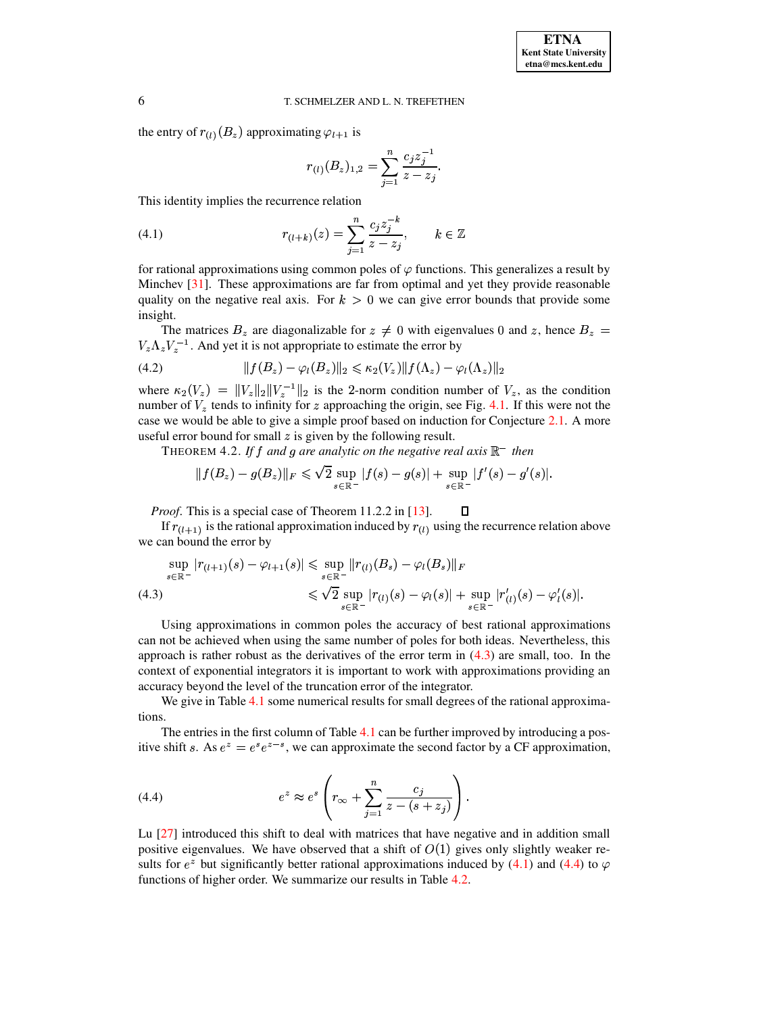the entry of  $r_{(l)}(B_z)$  approximating  $\varphi_{l+1}$  is

<span id="page-5-3"></span><span id="page-5-1"></span>
$$
r_{(l)}(B_z)_{1,2} = \sum_{j=1}^n \frac{c_j z_j^{-1}}{z - z_j}.
$$

This identity implies the recurrence relation

(4.1) 
$$
r_{(l+k)}(z) = \sum_{j=1}^{n} \frac{c_j z_j^{-k}}{z - z_j}, \qquad k \in \mathbb{Z}
$$

for rational approximations using common poles of  $\varphi$  functions. This generalizes a result by Minchev  $[31]$ . These approximations are far from optimal and yet they provide reasonable quality on the negative real axis. For  $k > 0$  we can give error bounds that provide some insight.

The matrices  $B_z$  are diagonalizable for  $z \neq 0$  with eigenvalues 0 and z, hence  $B_z$  $V_z \Lambda_z V_z^{-1}$ . And yet it is not appropriate to estimate the error by

$$
(4.2) \t\t\t ||f(B_z) - \varphi_l(B_z)||_2 \leq \kappa_2(V_z) ||f(\Lambda_z) - \varphi_l(\Lambda_z)||_2
$$

where  $\kappa_2(V_z) = ||V_z||_2||V_z^{-1}||_2$  is the 2-norm condition number of  $V_z$ , as the condition number of  $V_z$  tends to infinity for z approaching the origin, see Fig. 4.1. If this were not the case we would be able to give a simple proof based on induction for Conjecture 2.1. A more useful error bound for small  $z$  is given by the following result.

THEOREM 4.2. If f and g are analytic on the negative real axis  $\mathbb{R}^-$  then

<span id="page-5-4"></span>
$$
\|f(B_z)-g(B_z)\|_F\leqslant \sqrt{2}\sup_{s\in\mathbb{R}^-}|f(s)-g(s)|+\sup_{s\in\mathbb{R}^-}|f'(s)-g'(s)|.
$$

Д *Proof.* This is a special case of Theorem 11.2.2 in [13].

If  $r_{(l+1)}$  is the rational approximation induced by  $r_{(l)}$  using the recurrence relation above we can bound the error by

<span id="page-5-0"></span>
$$
\sup_{s \in \mathbb{R}^-} |r_{(l+1)}(s) - \varphi_{l+1}(s)| \leq \sup_{s \in \mathbb{R}^-} ||r_{(l)}(B_s) - \varphi_l(B_s)||_F
$$
\n
$$
\leq \sqrt{2} \sup_{s \in \mathbb{R}^-} |r_{(l)}(s) - \varphi_l(s)| + \sup_{s \in \mathbb{R}^-} |r'_{(l)}(s) - \varphi'_l(s)|
$$

Using approximations in common poles the accuracy of best rational approximations can not be achieved when using the same number of poles for both ideas. Nevertheless, this approach is rather robust as the derivatives of the error term in  $(4.3)$  are small, too. In the context of exponential integrators it is important to work with approximations providing an accuracy beyond the level of the truncation error of the integrator.

We give in Table 4.1 some numerical results for small degrees of the rational approximations.

The entries in the first column of Table 4.1 can be further improved by introducing a positive shift s. As  $e^z = e^s e^{z-s}$ , we can approximate the second factor by a CF approximation,

<span id="page-5-2"></span>(4.4) 
$$
e^{z} \approx e^{s} \left( r_{\infty} + \sum_{j=1}^{n} \frac{c_{j}}{z - (s + z_{j})} \right)
$$

Lu [27] introduced this shift to deal with matrices that have negative and in addition small positive eigenvalues. We have observed that a shift of  $O(1)$  gives only slightly weaker results for  $e^z$  but significantly better rational approximations induced by (4.1) and (4.4) to  $\varphi$ functions of higher order. We summarize our results in Table 4.2.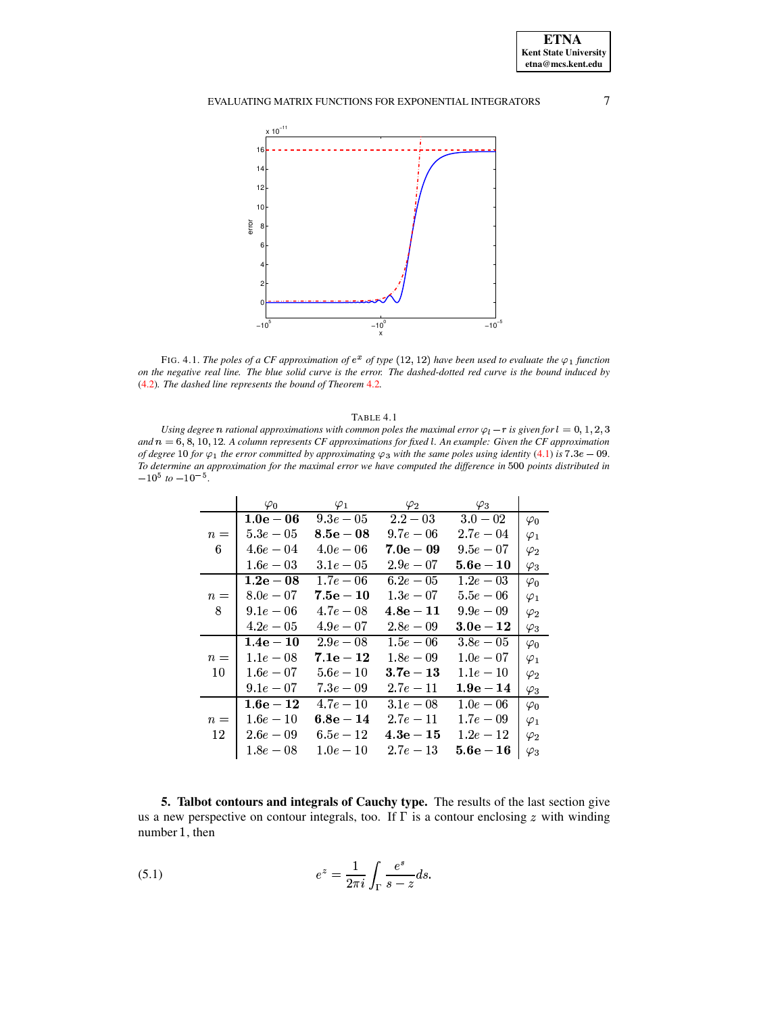

FIG. 4.1. The poles of a CF approximation of  $e^x$  of type (12, 12) have been used to evaluate the  $\varphi_1$  function on the negative real line. The blue solid curve is the error. The dashed-dotted red curve is the bound induced by  $(4.2)$ . The dashed line represents the bound of Theorem 4.2.

## TABLE 4.1

<span id="page-6-1"></span>Using degree n rational approximations with common poles the maximal error  $\varphi_l$  – r is given for  $l = 0, 1, 2, 3$ and  $n = 6, 8, 10, 12$ . A column represents CF approximations for fixed l. An example: Given the CF approximation of degree 10 for  $\varphi_1$  the error committed by approximating  $\varphi_3$  with the same poles using identity (4.1) is 7.3e - 09. To determine an approximation for the maximal error we have computed the difference in 500 points distributed in  $-10^5$  to  $-10^{-5}$ .

|       | $\varphi_0$         | $\varphi_1$         | $\varphi_2$        | $\varphi_3$        |             |
|-------|---------------------|---------------------|--------------------|--------------------|-------------|
|       | $1.0\mathrm{e}-06$  | $9.3e-05$           | $2.2 - 03$         | $3.0 - 02$         | $\varphi_0$ |
| $n =$ | $5.3e-05$           | $8.5\mathrm{e}-0.8$ | $9.7e-06$          | $2.7e-0.4$         | $\varphi_1$ |
| 6     | $4.6e - 04$         | $4.0e - 06$         | $\rm 7.0e-09$      | $9.5e-07$          | $\varphi_2$ |
|       | $1.6e-03$           | $3.1e-05$           | $2.9e-07$          | ${\bf 5.6e-10}$    | $\varphi_3$ |
|       | $1.2\mathrm{e}-0.8$ | $1.7e-06$           | $6.2e-0.5$         | $1.2e-0.3$         | $\varphi_0$ |
| $n =$ | $8.0e-07$           | $\rm 7.5e-10$       | $1.3e-07$          | $5.5e - 06$        | $\varphi_1$ |
| 8     | $9.1e-06$           | $4.7e-0.8$          | $\bf 4.8e-11$      | $9.9e - 0.9$       | $\varphi_2$ |
|       | $4.2e-0.5$          | $4.9e-07$           | $2.8e-0.9$         | $3.0\mathrm{e}-12$ | $\varphi_3$ |
|       | $1.4\mathrm{e}-10$  | $2.9e-0.8$          | $1.5e-06$          | $3.8e-05$          | $\varphi_0$ |
| $n =$ | $1.1e-0.8$          | $\rm 7.1e-12$       | $1.8e-0.9$         | $1.0e-07$          | $\varphi_1$ |
| 10    | $1.6e-0 7$          | $5.6e-10$           | $3.7\mathrm{e}-13$ | $1.1e-10$          | $\varphi_2$ |
|       | $9.1e-07$           | $7.3e - 0.9$        | $2.7e-11$          | $1.9e-14$          | $\varphi_3$ |
|       | $1.6\mathrm{e}-12$  | $4.7e-10$           | $3.1e-0.8$         | $1.0e-06$          | $\varphi_0$ |
| $n =$ | $1.6e-10$           | $\bf{6.8e-14}$      | $2.7e-11$          | $1.7e-0.9$         | $\varphi_1$ |
| 12    | $2.6e-0.9$          | $6.5e-12$           | $\bf 4.3e-15$      | $1.2e-12$          | $\varphi_2$ |
|       | $1.8e-0 8$          | $1.0e-10$           | $2.7e-13$          | ${\bf 5.6e-16}$    | $\varphi_3$ |

<span id="page-6-2"></span><span id="page-6-0"></span>5. Talbot contours and integrals of Cauchy type. The results of the last section give us a new perspective on contour integrals, too. If  $\Gamma$  is a contour enclosing  $z$  with winding number 1, then

(5.1) 
$$
e^{z} = \frac{1}{2\pi i} \int_{\Gamma} \frac{e^{s}}{s - z} ds.
$$

 $\overline{7}$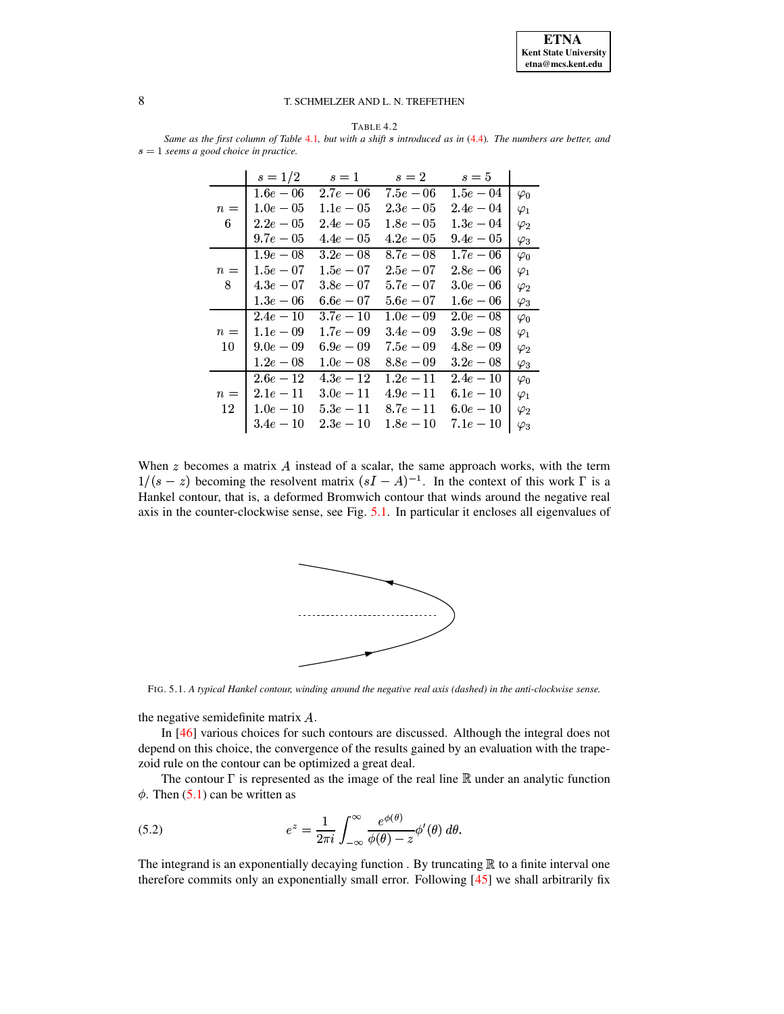

<span id="page-7-0"></span>TABLE 4.2 Same as the first column of Table 4.1, but with a shift s introduced as in (4.4). The numbers are better, and  $s = 1$  seems a good choice in practice.

|       | $s = 1/2$    | $s=1$        | $s=2$       | $s=5$       |             |
|-------|--------------|--------------|-------------|-------------|-------------|
|       | $1.6e-06$    | $2.7e-0 6$   | $7.5e-06$   | $1.5e-0 4$  | $\varphi_0$ |
| $n =$ | $1.0e-05$    | $1.1e-0.5$   | $2.3e-0.5$  | $2.4e - 04$ | $\varphi_1$ |
| 6     | $2.2e-05$    | $2.4e-05$    | $1.8e-05$   | $1.3e-0.4$  | $\varphi_2$ |
|       | $9.7e-05$    | $4.4e-05$    | $4.2e-05$   | $9.4e - 05$ | $\varphi_3$ |
|       | $1.9e-08$    | $3.2e - 0.8$ | $8.7e-0.8$  | $1.7e-06$   | $\varphi_0$ |
| $n =$ | $1.5e-0 7$   | $1.5e-0 7$   | $2.5e-07$   | $2.8e-0 6$  | $\varphi_1$ |
| 8     | $4.3e-07$    | $3.8e-0.7$   | $5.7e-07$   | $3.0e - 06$ | $\varphi_2$ |
|       | $1.3e-06$    | $6.6e-07$    | $5.6e-07$   | $1.6e-06$   | $\varphi_3$ |
|       | $2.4e-10$    | $3.7e-10$    | $1.0e-0.9$  | $2.0e-08$   | $\varphi_0$ |
| $n =$ | $1.1e-0.9$   | $1.7e - 0.9$ | $3.4e - 09$ | $3.9e-08$   | $\varphi_1$ |
| 10    | $9.0e - 0.9$ | $6.9e-09$    | $7.5e-0.9$  | $4.8e - 09$ | $\varphi_2$ |
|       | $1.2e-0 8$   | $1.0e-08$    | $8.8e-0 9$  | $3.2e - 08$ | $\varphi_3$ |
|       | $2.6e-12$    | $4.3e - 12$  | $1.2e - 11$ | $2.4e - 10$ | $\varphi_0$ |
| $n =$ | $2.1e-11$    | $3.0e-11$    | $4.9e-11$   | $6.1e-10$   | $\varphi_1$ |
| 12    | $1.0e-10$    | $5.3e-11$    | $8.7e-11$   | $6.0e-10$   | $\varphi_2$ |
|       | $3.4e - 10$  | $2.3e-10$    | $1.8e-10$   | $7.1e-10$   | $\varphi_3$ |

When  $z$  becomes a matrix  $A$  instead of a scalar, the same approach works, with the term  $1/(s-z)$  becoming the resolvent matrix  $(sI - A)^{-1}$ . In the context of this work  $\Gamma$  is a Hankel contour, that is, a deformed Bromwich contour that winds around the negative real axis in the counter-clockwise sense, see Fig. 5.1. In particular it encloses all eigenvalues of



FIG. 5.1. A typical Hankel contour, winding around the negative real axis (dashed) in the anti-clockwise sense.

the negative semidefinite matrix  $A$ .

In [46] various choices for such contours are discussed. Although the integral does not depend on this choice, the convergence of the results gained by an evaluation with the trapezoid rule on the contour can be optimized a great deal.

<span id="page-7-1"></span>The contour  $\Gamma$  is represented as the image of the real line  $\mathbb R$  under an analytic function  $\phi$ . Then (5.1) can be written as

(5.2) 
$$
e^{z} = \frac{1}{2\pi i} \int_{-\infty}^{\infty} \frac{e^{\phi(\theta)}}{\phi(\theta) - z} \phi'(\theta) d\theta
$$

The integrand is an exponentially decaying function. By truncating  $\mathbb R$  to a finite interval one therefore commits only an exponentially small error. Following [45] we shall arbitrarily fix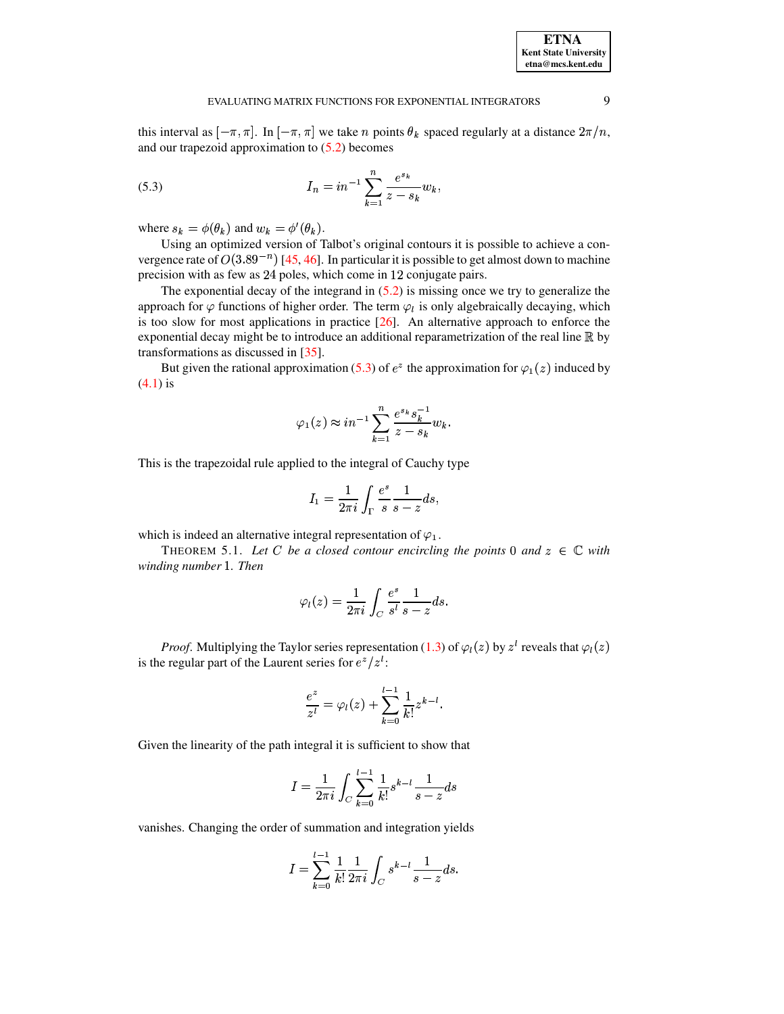<span id="page-8-0"></span>this interval as  $[-\pi, \pi]$ . In  $[-\pi, \pi]$  we take *n* points  $\theta_k$  spaced regularly at a distance  $2\pi/n$ , and our trapezoid approximation to  $(5.2)$  becomes

(5.3) 
$$
I_n = in^{-1} \sum_{k=1}^n \frac{e^{s_k}}{z - s_k} w_k,
$$

where  $s_k = \phi(\theta_k)$  and  $w_k = \phi'(\theta_k)$ .

Using an optimized version of Talbot's original contours it is possible to achieve a convergence rate of  $O(3.89^{-n})$  [\[45,](#page-17-3) [46\]](#page-17-8). In particular it is possible to get almost down to machine precision with as few as 24 poles, which come in 12 conjugate pairs.

The exponential decay of the integrand in  $(5.2)$  is missing once we try to generalize the approach for  $\varphi$  functions of higher order. The term  $\varphi_l$  is only algebraically decaying, which is too slow for most applications in practice  $[26]$ . An alternative approach to enforce the exponential decay might be to introduce an additional reparametrization of the real line  $\mathbb R$  by transformations as discussed in [\[35\]](#page-17-9).

But given the rational approximation [\(5.3\)](#page-8-0) of  $e^z$  the approximation for  $\varphi_1(z)$  induced by [\(4.1\)](#page-5-1) is

$$
\varphi_1(z) \approx i n^{-1} \sum_{k=1}^n \frac{e^{s_k} s_k^{-1}}{z - s_k} w_k.
$$

This is the trapezoidal rule applied to the integral of Cauchy type

$$
I_1=\frac{1}{2\pi i}\int_\Gamma \frac{e^s}{s}\frac{1}{s-z}ds,
$$

which is indeed an alternative integral representation of  $\varphi_1$ .

THEOREM 5.1. Let C be a closed contour encircling the points 0 and  $z \in \mathbb{C}$  with winding number 1. Then

$$
\varphi_l(z)=\frac{1}{2\pi i}\int_C\frac{e^s}{s^l}\frac{1}{s-z}ds.
$$

*Proof.* Multiplying the Taylor series representation [\(1.3\)](#page-1-2) of  $\varphi_l(z)$  by  $z^l$  reveals that  $\varphi_l(z)$ is the regular part of the Laurent series for  $e^z / z^t$ :

$$
\frac{e^z}{z^l} = \varphi_l(z) + \sum_{k=0}^{l-1} \frac{1}{k!} z^{k-l}.
$$

Given the linearity of the path integral it is sufficient to show that

$$
I = \frac{1}{2\pi i} \int_C \sum_{k=0}^{l-1} \frac{1}{k!} s^{k-l} \frac{1}{s-z} ds
$$

vanishes. Changing the order of summation and integration yields

$$
I = \sum_{k=0}^{l-1} \frac{1}{k!} \frac{1}{2\pi i} \int_C s^{k-l} \frac{1}{s-z} ds.
$$

**ETNA Kent State University etna@mcs.kent.edu**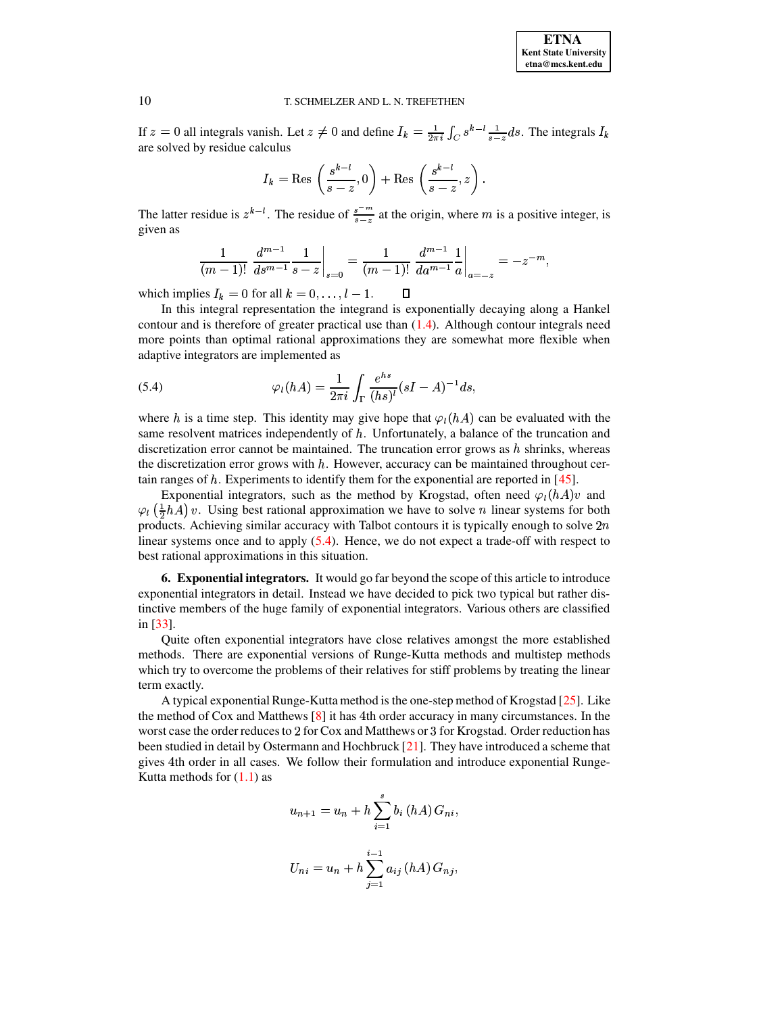If  $z = 0$  all integrals vanish. Let  $z \neq 0$  and define  $I_k = \frac{1}{2\pi i} \int_C s^{k-l} \frac{1}{s-z} ds$ . The integrals  $I_k$ are solved by residue calculus

$$
I_k = \text{Res}\,\left(\frac{s^{k-l}}{s-z},0\right) + \text{Res}\,\left(\frac{s^{k-l}}{s-z},z\right).
$$

The latter residue is  $z^{k-l}$ . The residue of  $\frac{s^{-m}}{s-z}$  at the origin, where m is a positive integer, is given as

<span id="page-9-0"></span>
$$
\frac{1}{(m-1)!} \left. \frac{d^{m-1}}{ds^{m-1}} \frac{1}{s-z} \right|_{s=0} = \frac{1}{(m-1)!} \left. \frac{d^{m-1}}{da^{m-1}} \frac{1}{a} \right|_{a=-z} = -z^{-m}
$$

which implies  $I_k = 0$  for all  $k = 0, \ldots, l - 1$ .  $\Box$ 

In this integral representation the integrand is exponentially decaying along a Hankel contour and is therefore of greater practical use than  $(1.4)$ . Although contour integrals need more points than optimal rational approximations they are somewhat more flexible when adaptive integrators are implemented as

(5.4) 
$$
\varphi_l(hA) = \frac{1}{2\pi i} \int_{\Gamma} \frac{e^{hs}}{(hs)^l} (sI - A)^{-1} ds,
$$

where h is a time step. This identity may give hope that  $\varphi_l(hA)$  can be evaluated with the same resolvent matrices independently of  $h$ . Unfortunately, a balance of the truncation and discretization error cannot be maintained. The truncation error grows as  $h$  shrinks, whereas the discretization error grows with  $h$ . However, accuracy can be maintained throughout certain ranges of  $h$ . Experiments to identify them for the exponential are reported in  $[45]$ .

Exponential integrators, such as the method by Krogstad, often need  $\varphi_l(hA)v$  and  $\varphi_l$   $(\frac{1}{2}hA)v$ . Using best rational approximation we have to solve *n* linear systems for both products. Achieving similar accuracy with Talbot contours it is typically enough to solve  $2n$ linear systems once and to apply  $(5.4)$ . Hence, we do not expect a trade-off with respect to best rational approximations in this situation.

6. Exponential integrators. It would go far beyond the scope of this article to introduce exponential integrators in detail. Instead we have decided to pick two typical but rather distinctive members of the huge family of exponential integrators. Various others are classified in  $[33]$ .

Quite often exponential integrators have close relatives amongst the more established methods. There are exponential versions of Runge-Kutta methods and multistep methods which try to overcome the problems of their relatives for stiff problems by treating the linear term exactly.

A typical exponential Runge-Kutta method is the one-step method of Krogstad [25]. Like the method of Cox and Matthews  $[8]$  it has 4th order accuracy in many circumstances. In the worst case the order reduces to 2 for Cox and Matthews or 3 for Krogstad. Order reduction has been studied in detail by Ostermann and Hochbruck [21]. They have introduced a scheme that gives 4th order in all cases. We follow their formulation and introduce exponential Runge-Kutta methods for  $(1.1)$  as

$$
u_{n+1} = u_n + h \sum_{i=1}^{s} b_i (hA) G_{ni},
$$
  

$$
i^{-1}
$$

$$
U_{ni} = u_n + h \sum_{j=1}^{i-1} a_{ij} (hA) G_{nj}
$$

10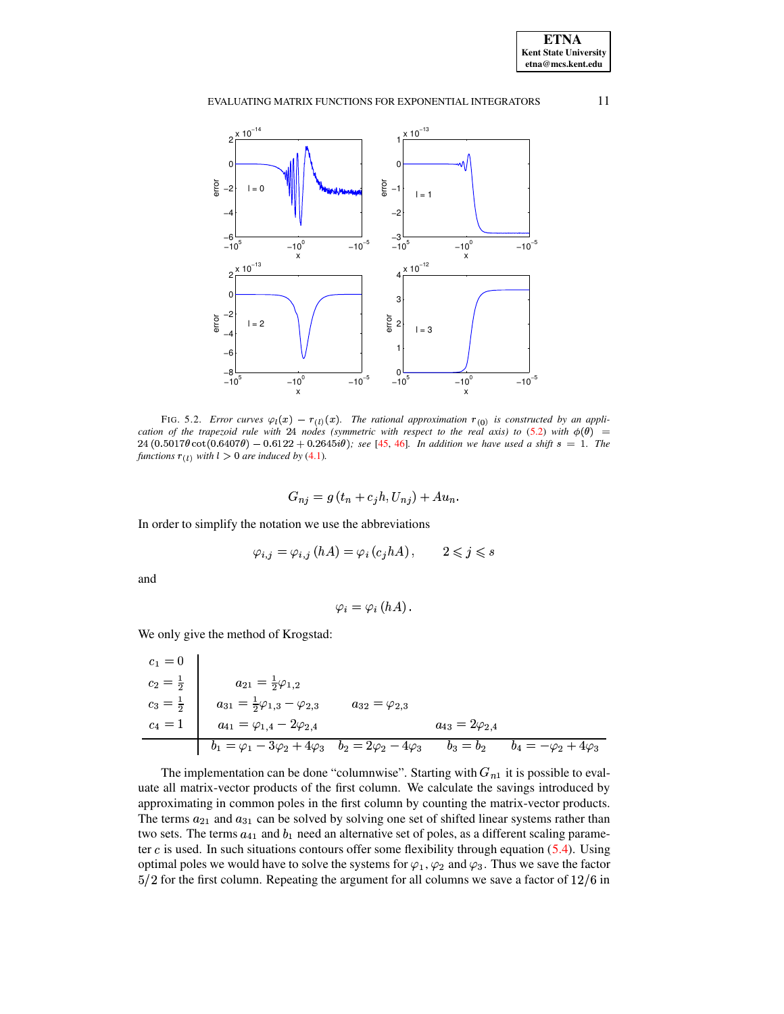

FIG. 5.2. Error curves  $\varphi_l(x) - r_{(l)}(x)$ . The rational approximation  $r_{(0)}$  is constructed by an application of the trapezoid rule with 24 nodes (symmetric with respect to the real axis) to (5.2) with  $\phi(\theta)$  = 24  $(0.5017\theta \cot(0.6407\theta) - 0.6122 + 0.2645i\theta)$ ; see [45, 46]. In addition we have used a shift  $s = 1$ . The functions  $r_{(l)}$  with  $l > 0$  are induced by (4.1).

$$
G_{nj} = g(t_n + c_j h, U_{nj}) + Au_n.
$$

In order to simplify the notation we use the abbreviations

$$
\varphi_{i,j} = \varphi_{i,j} (hA) = \varphi_i (c_j hA), \qquad 2 \leqslant j \leqslant s
$$

and

$$
\varphi_i = \varphi_i(hA).
$$

We only give the method of Krogstad:

$$
c_1 = 0
$$
  
\n
$$
c_2 = \frac{1}{2}
$$
  
\n
$$
c_3 = \frac{1}{2}
$$
  
\n
$$
a_{21} = \frac{1}{2}\varphi_{1,2}
$$
  
\n
$$
a_{31} = \frac{1}{2}\varphi_{1,3} - \varphi_{2,3}
$$
  
\n
$$
a_{41} = \varphi_{1,4} - 2\varphi_{2,4}
$$
  
\n
$$
a_{42} = 2\varphi_{2,4}
$$
  
\n
$$
a_{43} = 2\varphi_{2,4}
$$
  
\n
$$
a_{43} = 2\varphi_{2,4}
$$
  
\n
$$
b_1 = \varphi_1 - 3\varphi_2 + 4\varphi_3
$$
  
\n
$$
b_2 = 2\varphi_2 - 4\varphi_3
$$
  
\n
$$
b_3 = b_2
$$
  
\n
$$
b_4 = -\varphi_2 + 4\varphi_3
$$

The implementation can be done "columnwise". Starting with  $G_{n1}$  it is possible to evaluate all matrix-vector products of the first column. We calculate the savings introduced by approximating in common poles in the first column by counting the matrix-vector products. The terms  $a_{21}$  and  $a_{31}$  can be solved by solving one set of shifted linear systems rather than two sets. The terms  $a_{41}$  and  $b_1$  need an alternative set of poles, as a different scaling parameter  $c$  is used. In such situations contours offer some flexibility through equation (5.4). Using optimal poles we would have to solve the systems for  $\varphi_1$ ,  $\varphi_2$  and  $\varphi_3$ . Thus we save the factor  $5/2$  for the first column. Repeating the argument for all columns we save a factor of  $12/6$  in

11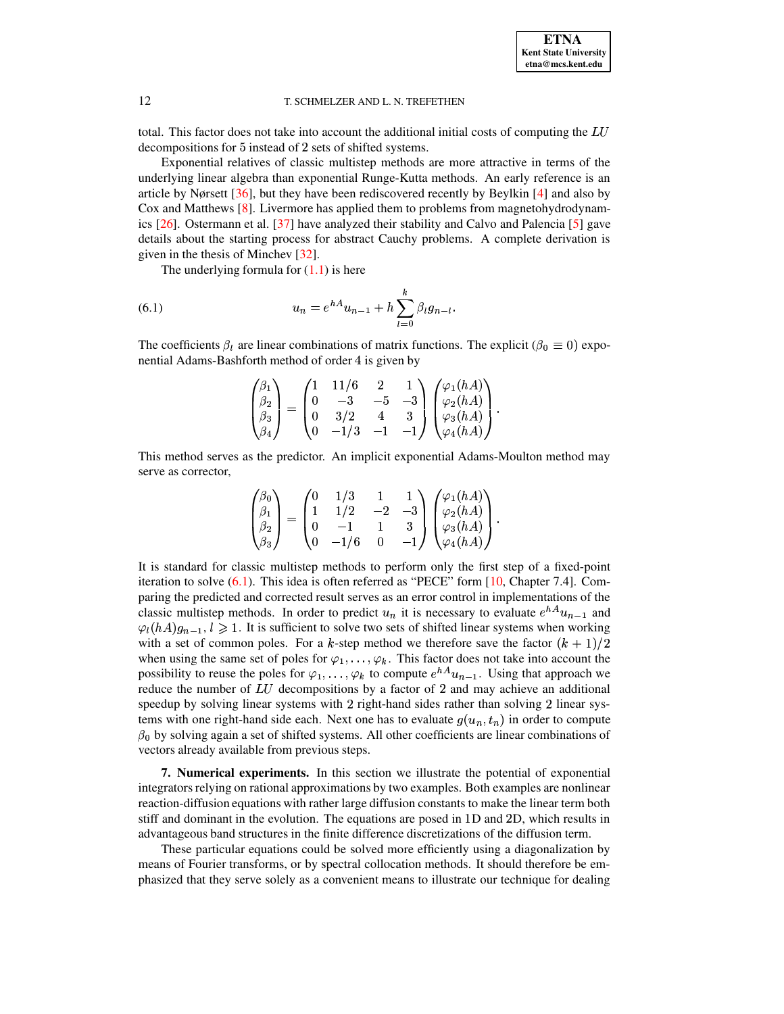total. This factor does not take into account the additional initial costs of computing the LU decompositions for 5 instead of 2 sets of shifted systems.

Exponential relatives of classic multistep methods are more attractive in terms of the underlying linear algebra than exponential Runge-Kutta methods. An early reference is an article by Nørsett [36], but they have been rediscovered recently by Beylkin [4] and also by Cox and Matthews [8]. Livermore has applied them to problems from magnetohydrodynamics  $[26]$ . Ostermann et al. [37] have analyzed their stability and Calvo and Palencia [5] gave details about the starting process for abstract Cauchy problems. A complete derivation is given in the thesis of Minchev  $[32]$ .

<span id="page-11-0"></span>The underlying formula for  $(1.1)$  is here

(6.1) 
$$
u_n = e^{hA}u_{n-1} + h \sum_{l=0}^{k} \beta_l g_{n-l}
$$

The coefficients  $\beta_l$  are linear combinations of matrix functions. The explicit ( $\beta_0 \equiv 0$ ) exponential Adams-Bashforth method of order 4 is given by

$$
\begin{pmatrix} \beta_1 \\ \beta_2 \\ \beta_3 \\ \beta_4 \end{pmatrix} = \begin{pmatrix} 1 & 11/6 & 2 & 1 \\ 0 & -3 & -5 & -3 \\ 0 & 3/2 & 4 & 3 \\ 0 & -1/3 & -1 & -1 \end{pmatrix} \begin{pmatrix} \varphi_1(hA) \\ \varphi_2(hA) \\ \varphi_3(hA) \\ \varphi_4(hA) \end{pmatrix}
$$

This method serves as the predictor. An implicit exponential Adams-Moulton method may serve as corrector,

$$
\begin{pmatrix} \beta_0 \\ \beta_1 \\ \beta_2 \\ \beta_3 \end{pmatrix} = \begin{pmatrix} 0 & 1/3 & 1 & 1 \\ 1 & 1/2 & -2 & -3 \\ 0 & -1 & 1 & 3 \\ 0 & -1/6 & 0 & -1 \end{pmatrix} \begin{pmatrix} \varphi_1(hA) \\ \varphi_2(hA) \\ \varphi_3(hA) \\ \varphi_4(hA) \end{pmatrix}
$$

It is standard for classic multistep methods to perform only the first step of a fixed-point iteration to solve  $(6.1)$ . This idea is often referred as "PECE" form [10, Chapter 7.4]. Comparing the predicted and corrected result serves as an error control in implementations of the classic multistep methods. In order to predict  $u_n$  it is necessary to evaluate  $e^{hA}u_{n-1}$  and  $\varphi_l(hA)g_{n-1}, l \geq 1$ . It is sufficient to solve two sets of shifted linear systems when working with a set of common poles. For a k-step method we therefore save the factor  $(k + 1)/2$ when using the same set of poles for  $\varphi_1, \ldots, \varphi_k$ . This factor does not take into account the possibility to reuse the poles for  $\varphi_1, \ldots, \varphi_k$  to compute  $e^{hA}u_{n-1}$ . Using that approach we reduce the number of  $LU$  decompositions by a factor of 2 and may achieve an additional speedup by solving linear systems with 2 right-hand sides rather than solving 2 linear systems with one right-hand side each. Next one has to evaluate  $g(u_n, t_n)$  in order to compute  $\beta_0$  by solving again a set of shifted systems. All other coefficients are linear combinations of vectors already available from previous steps.

7. Numerical experiments. In this section we illustrate the potential of exponential integrators relying on rational approximations by two examples. Both examples are nonlinear reaction-diffusion equations with rather large diffusion constants to make the linear term both stiff and dominant in the evolution. The equations are posed in 1D and 2D, which results in advantageous band structures in the finite difference discretizations of the diffusion term.

These particular equations could be solved more efficiently using a diagonalization by means of Fourier transforms, or by spectral collocation methods. It should therefore be emphasized that they serve solely as a convenient means to illustrate our technique for dealing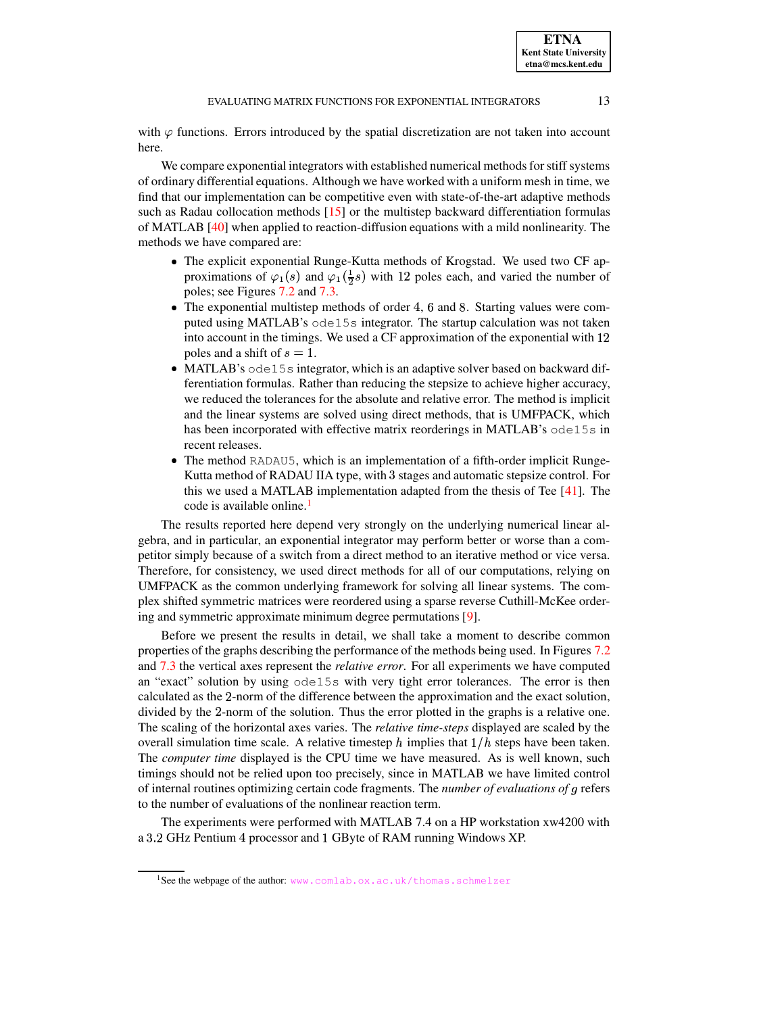**ETNA Kent State University etna@mcs.kent.edu**

with  $\varphi$  functions. Errors introduced by the spatial discretization are not taken into account here.

We compare exponential integrators with established numerical methods for stiff systems of ordinary differential equations. Although we have worked with a uniform mesh in time, we find that our implementation can be competitive even with state-of-the-art adaptive methods such as Radau collocation methods [\[15\]](#page-16-27) or the multistep backward differentiation formulas of MATLAB [\[40\]](#page-17-12) when applied to reaction-diffusion equations with a mild nonlinearity. The methods we have compared are:

- The explicit exponential Runge-Kutta methods of Krogstad. We used two CF approximations of  $\varphi_1(s)$  and  $\varphi_1(\frac{1}{2}s)$  with 12 poles each, and varied the number of poles; see Figures [7.2](#page-14-0) and [7.3.](#page-15-0)
- The exponential multistep methods of order 4, 6 and 8. Starting values were computed using MATLAB's ode15s integrator. The startup calculation was not taken into account in the timings. We used a CF approximation of the exponential with  $12$ poles and a shift of  $s = 1$ .
- MATLAB's ode15s integrator, which is an adaptive solver based on backward differentiation formulas. Rather than reducing the stepsize to achieve higher accuracy, we reduced the tolerances for the absolute and relative error. The method is implicit and the linear systems are solved using direct methods, that is UMFPACK, which has been incorporated with effective matrix reorderings in MATLAB's ode15s in recent releases.
- The method RADAU5, which is an implementation of a fifth-order implicit Runge-Kutta method of RADAU IIA type, with 3 stages and automatic stepsize control. For this we used a MATLAB implementation adapted from the thesis of Tee [\[41\]](#page-17-13). The code is available online.<sup>[1](#page-12-0)</sup>

The results reported here depend very strongly on the underlying numerical linear algebra, and in particular, an exponential integrator may perform better or worse than a competitor simply because of a switch from a direct method to an iterative method or vice versa. Therefore, for consistency, we used direct methods for all of our computations, relying on UMFPACK as the common underlying framework for solving all linear systems. The complex shifted symmetric matrices were reordered using a sparse reverse Cuthill-McKee ordering and symmetric approximate minimum degree permutations [\[9\]](#page-16-28).

Before we present the results in detail, we shall take a moment to describe common properties of the graphs describing the performance of the methods being used. In Figures [7.2](#page-14-0) and [7.3](#page-15-0) the vertical axes represent the *relative error*. For all experiments we have computed an "exact" solution by using ode15s with very tight error tolerances. The error is then calculated as the 2-norm of the difference between the approximation and the exact solution, divided by the 2-norm of the solution. Thus the error plotted in the graphs is a relative one. The scaling of the horizontal axes varies. The *relative time-steps* displayed are scaled by the overall simulation time scale. A relative timestep h implies that  $1/h$  steps have been taken. The *computer time* displayed is the CPU time we have measured. As is well known, such timings should not be relied upon too precisely, since in MATLAB we have limited control of internal routines optimizing certain code fragments. The *number of evaluations of* <sup>6</sup> refers to the number of evaluations of the nonlinear reaction term.

The experiments were performed with MATLAB 7.4 on a HP workstation xw4200 with a 3.2 GHz Pentium 4 processor and 1 GByte of RAM running Windows XP.

<span id="page-12-0"></span><sup>&</sup>lt;sup>1</sup>See the webpage of the author: <www.comlab.ox.ac.uk/thomas.schmelzer>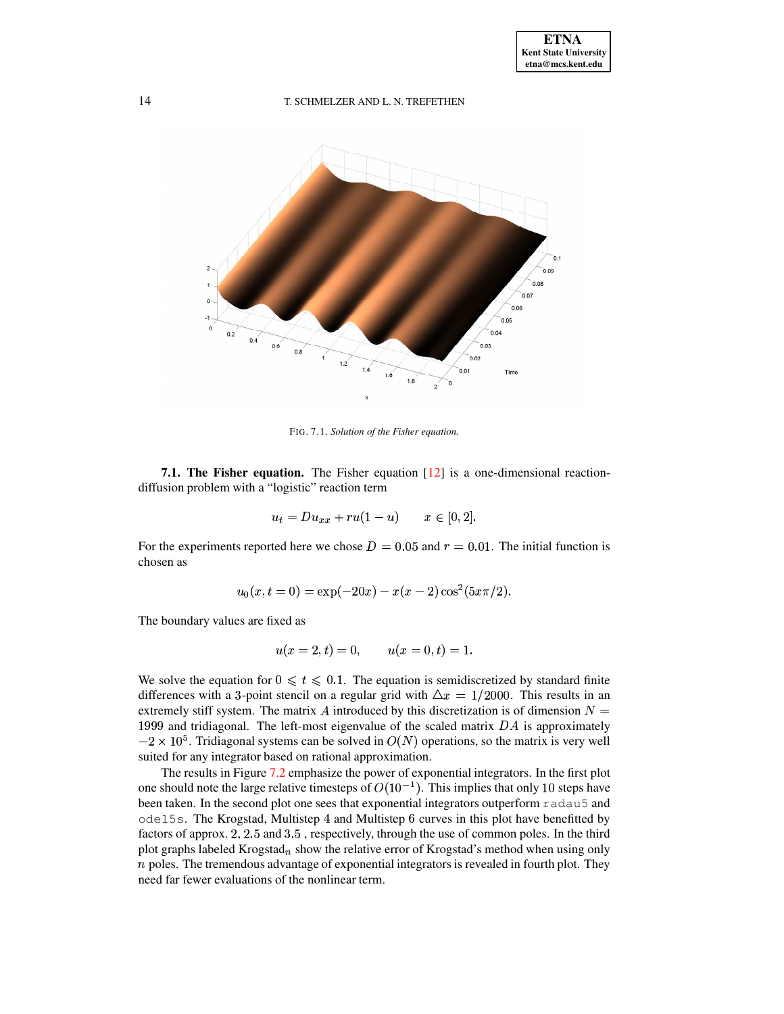

<span id="page-13-0"></span>FIG. 7.1. Solution of the Fisher equation.

**7.1. The Fisher equation.** The Fisher equation  $\begin{bmatrix} 12 \end{bmatrix}$  is a one-dimensional reactiondiffusion problem with a "logistic" reaction term

$$
u_t = Du_{xx} + ru(1-u) \qquad x \in [0,2].
$$

For the experiments reported here we chose  $D = 0.05$  and  $r = 0.01$ . The initial function is chosen as

$$
u_0(x, t = 0) = \exp(-20x) - x(x - 2)\cos^2(5x\pi/2).
$$

The boundary values are fixed as

$$
u(x = 2, t) = 0, \qquad u(x = 0, t) = 1
$$

We solve the equation for  $0 \le t \le 0.1$ . The equation is semidiscretized by standard finite differences with a 3-point stencil on a regular grid with  $\Delta x = 1/2000$ . This results in an extremely stiff system. The matrix A introduced by this discretization is of dimension  $N =$ 1999 and tridiagonal. The left-most eigenvalue of the scaled matrix  $DA$  is approximately  $-2 \times 10^5$ . Tridiagonal systems can be solved in  $O(N)$  operations, so the matrix is very well suited for any integrator based on rational approximation.

The results in Figure 7.2 emphasize the power of exponential integrators. In the first plot one should note the large relative timesteps of  $O(10^{-1})$ . This implies that only 10 steps have been taken. In the second plot one sees that exponential integrators outperform radau5 and ode15s. The Krogstad, Multistep 4 and Multistep 6 curves in this plot have benefitted by factors of approx. 2, 2.5 and 3.5, respectively, through the use of common poles. In the third plot graphs labeled Krogstad<sub>n</sub> show the relative error of Krogstad's method when using only  $n$  poles. The tremendous advantage of exponential integrators is revealed in fourth plot. They need far fewer evaluations of the nonlinear term.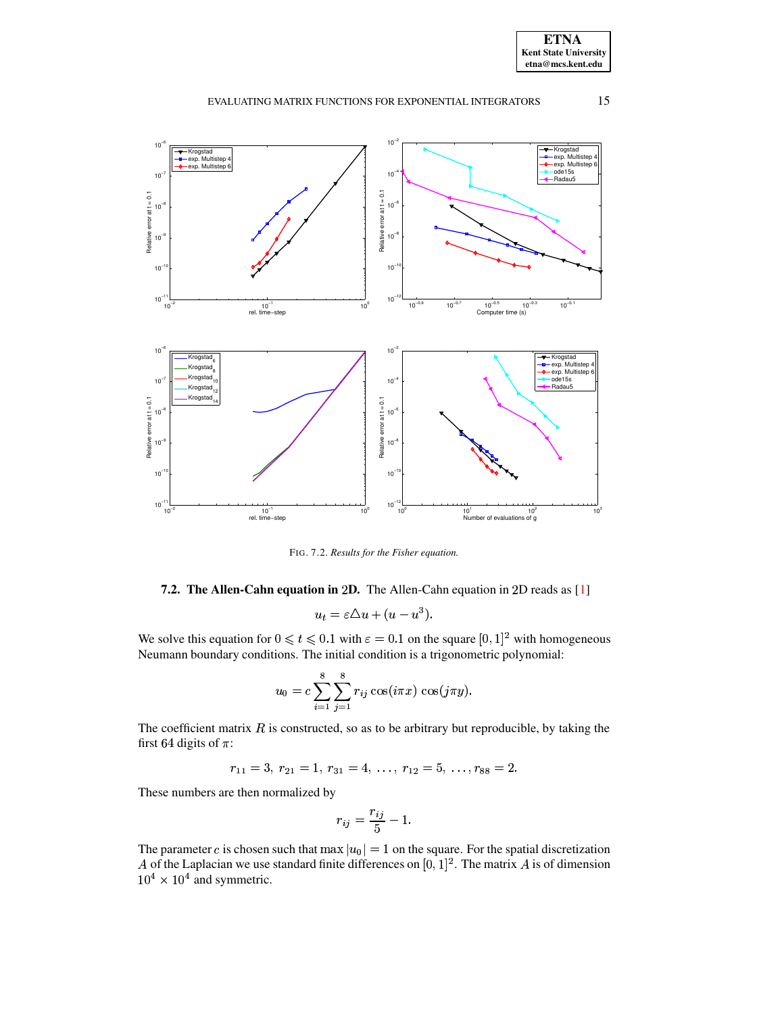**ETNA Kent State University**  $etna@mcs. kent.edu$ 

#### 15 EVALUATING MATRIX FUNCTIONS FOR EXPONENTIAL INTEGRATORS



<span id="page-14-0"></span>FIG. 7.2. Results for the Fisher equation.

# 7.2. The Allen-Cahn equation in 2D. The Allen-Cahn equation in 2D reads as [1]

$$
u_t = \varepsilon \Delta u + (u - u^3).
$$

We solve this equation for  $0 \le t \le 0.1$  with  $\varepsilon = 0.1$  on the square  $[0, 1]^2$  with homogeneous Neumann boundary conditions. The initial condition is a trigonometric polynomial:

$$
u_0 = c \sum_{i=1}^{8} \sum_{j=1}^{8} r_{ij} \cos(i\pi x) \cos(j\pi y).
$$

The coefficient matrix  $R$  is constructed, so as to be arbitrary but reproducible, by taking the first 64 digits of  $\pi$ :

$$
r_{11}=3, r_{21}=1, r_{31}=4, \ldots, r_{12}=5, \ldots, r_{88}=2.
$$

These numbers are then normalized by

$$
r_{ij} = \frac{r_{ij}}{5} - 1.
$$

The parameter c is chosen such that max  $|u_0| = 1$  on the square. For the spatial discretization A of the Laplacian we use standard finite differences on  $[0, 1]^2$ . The matrix A is of dimension  $10^4 \times 10^4$  and symmetric.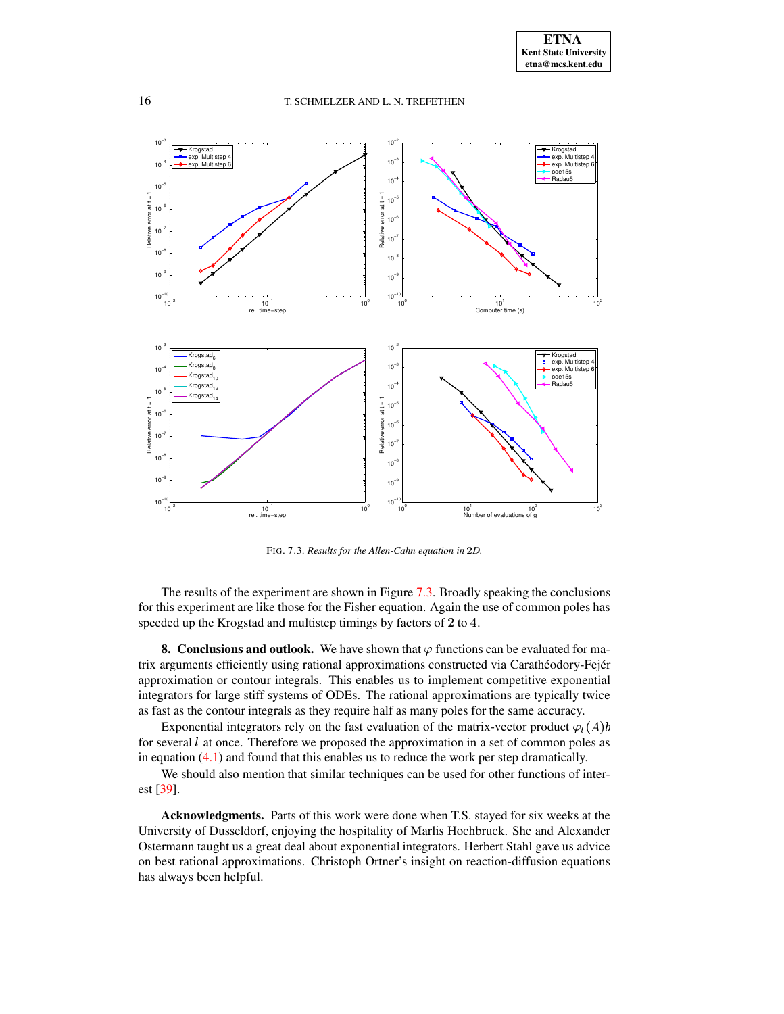

<span id="page-15-0"></span>FIG. 7.3. *Results for the Allen-Cahn equation in* '*D.*

The results of the experiment are shown in Figure [7.3.](#page-15-0) Broadly speaking the conclusions for this experiment are like those for the Fisher equation. Again the use of common poles has speeded up the Krogstad and multistep timings by factors of 2 to 4.

**8. Conclusions and outlook.** We have shown that  $\varphi$  functions can be evaluated for matrix arguments efficiently using rational approximations constructed via Carathéodory-Fejér approximation or contour integrals. This enables us to implement competitive exponential integrators for large stiff systems of ODEs. The rational approximations are typically twice as fast as the contour integrals as they require half as many poles for the same accuracy.

Exponential integrators rely on the fast evaluation of the matrix-vector product  $\varphi_1(A)b$ for several  $l$  at once. Therefore we proposed the approximation in a set of common poles as in equation [\(4.1\)](#page-5-1) and found that this enables us to reduce the work per step dramatically.

We should also mention that similar techniques can be used for other functions of interest [\[39\]](#page-17-14).

**Acknowledgments.** Parts of this work were done when T.S. stayed for six weeks at the University of Dusseldorf, enjoying the hospitality of Marlis Hochbruck. She and Alexander Ostermann taught us a great deal about exponential integrators. Herbert Stahl gave us advice on best rational approximations. Christoph Ortner's insight on reaction-diffusion equations has always been helpful.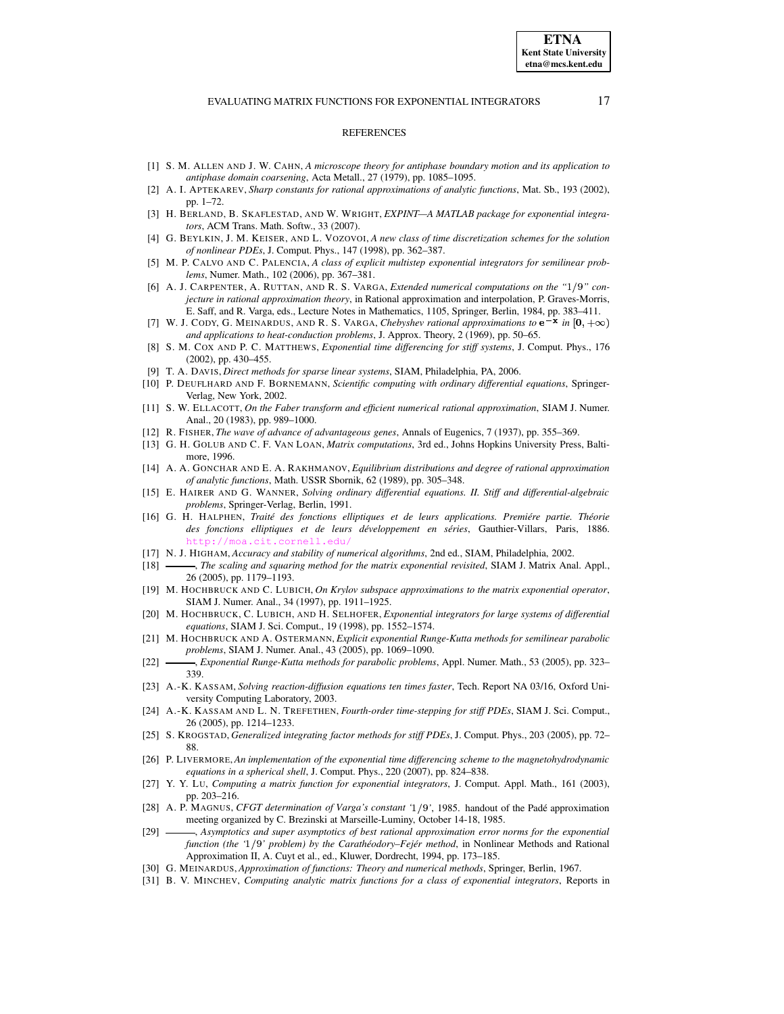#### **REFERENCES**

- <span id="page-16-30"></span>[1] S. M. ALLEN AND J. W. CAHN, *A microscope theory for antiphase boundary motion and its application to antiphase domain coarsening*, Acta Metall., 27 (1979), pp. 1085–1095.
- <span id="page-16-20"></span>[2] A. I. APTEKAREV, *Sharp constants for rational approximations of analytic functions*, Mat. Sb., 193 (2002), pp. 1–72.
- <span id="page-16-7"></span>[3] H. BERLAND, B. SKAFLESTAD, AND W. WRIGHT, *EXPINT—A MATLAB package for exponential integrators*, ACM Trans. Math. Softw., 33 (2007).
- <span id="page-16-25"></span><span id="page-16-4"></span>[4] G. BEYLKIN, J. M. KEISER, AND L. VOZOVOI, *A new class of time discretization schemes for the solution of nonlinear PDEs*, J. Comput. Phys., 147 (1998), pp. 362–387.
- [5] M. P. CALVO AND C. PALENCIA, *A class of explicit multistep exponential integrators for semilinear problems*, Numer. Math., 102 (2006), pp. 367–381.
- <span id="page-16-18"></span>[6] A. J. CARPENTER, A. RUTTAN, AND R. S. VARGA, *Extended numerical computations on the "* #*" conjecture in rational approximation theory*, in Rational approximation and interpolation, P. Graves-Morris, E. Saff, and R. Varga, eds., Lecture Notes in Mathematics, 1105, Springer, Berlin, 1984, pp. 383–411.
- <span id="page-16-14"></span>[7] W. J. CODY, G. MEINARDUS, AND R. S. VARGA, *Chebyshev rational approximations* to  $e^{-x}$  in  $[0, +\infty)$ *and applications to heat-conduction problems*, J. Approx. Theory, 2 (1969), pp. 50–65.
- <span id="page-16-1"></span>[8] S. M. COX AND P. C. MATTHEWS, *Exponential time differencing for stiff systems*, J. Comput. Phys., 176 (2002), pp. 430–455.
- [9] T. A. DAVIS, *Direct methods for sparse linear systems*, SIAM, Philadelphia, PA, 2006.
- <span id="page-16-28"></span><span id="page-16-26"></span>[10] P. DEUFLHARD AND F. BORNEMANN, *Scientific computing with ordinary differential equations*, Springer-Verlag, New York, 2002.
- <span id="page-16-21"></span>[11] S. W. ELLACOTT, *On the Faber transform and efficient numerical rational approximation*, SIAM J. Numer. Anal., 20 (1983), pp. 989–1000.
- <span id="page-16-29"></span><span id="page-16-23"></span>[12] R. FISHER, *The wave of advance of advantageous genes*, Annals of Eugenics, 7 (1937), pp. 355–369.
- [13] G. H. GOLUB AND C. F. VAN LOAN, *Matrix computations*, 3rd ed., Johns Hopkins University Press, Baltimore, 1996.
- <span id="page-16-15"></span>[14] A. A. GONCHAR AND E. A. RAKHMANOV, *Equilibrium distributions and degree of rational approximation of analytic functions*, Math. USSR Sbornik, 62 (1989), pp. 305–348.
- <span id="page-16-27"></span>[15] E. HAIRER AND G. WANNER, *Solving ordinary differential equations. II. Stiff and differential-algebraic problems*, Springer-Verlag, Berlin, 1991.
- <span id="page-16-16"></span>[16] G. H. HALPHEN, *Traité des fonctions elliptiques et de leurs applications. Premiére partie. Théorie des fonctions elliptiques et de leurs développement en séries*, Gauthier-Villars, Paris, 1886. http://mo
- <span id="page-16-11"></span><span id="page-16-9"></span>[17] N. J. HIGHAM, *Accuracy and stability of numerical algorithms*, 2nd ed., SIAM, Philadelphia, 2002.
- [18] , *The scaling and squaring method for the matrix exponential revisited*, SIAM J. Matrix Anal. Appl., 26 (2005), pp. 1179–1193.
- <span id="page-16-0"></span>[19] M. HOCHBRUCK AND C. LUBICH, *On Krylov subspace approximations to the matrix exponential operator*, SIAM J. Numer. Anal., 34 (1997), pp. 1911–1925.
- <span id="page-16-10"></span>[20] M. HOCHBRUCK, C. LUBICH, AND H. SELHOFER, *Exponential integrators for large systems of differential equations*, SIAM J. Sci. Comput., 19 (1998), pp. 1552–1574.
- <span id="page-16-3"></span>[21] M. HOCHBRUCK AND A. OSTERMANN, *Explicit exponential Runge-Kutta methods for semilinear parabolic problems*, SIAM J. Numer. Anal., 43 (2005), pp. 1069–1090.
- <span id="page-16-8"></span>[22] , *Exponential Runge-Kutta methods for parabolic problems*, Appl. Numer. Math., 53 (2005), pp. 323– 339.
- <span id="page-16-5"></span>[23] A.-K. KASSAM, *Solving reaction-diffusion equations ten times faster*, Tech. Report NA 03/16, Oxford University Computing Laboratory, 2003.
- <span id="page-16-6"></span>[24] A.-K. KASSAM AND L. N. TREFETHEN, *Fourth-order time-stepping for stiff PDEs*, SIAM J. Sci. Comput., 26 (2005), pp. 1214–1233.
- <span id="page-16-2"></span>[25] S. KROGSTAD, *Generalized integrating factor methods for stiff PDEs*, J. Comput. Phys., 203 (2005), pp. 72– 88.
- <span id="page-16-24"></span>[26] P. LIVERMORE, *An implementation of the exponential time differencing scheme to the magnetohydrodynamic equations in a spherical shell*, J. Comput. Phys., 220 (2007), pp. 824–838.
- <span id="page-16-12"></span>[27] Y. Y. LU, *Computing a matrix function for exponential integrators*, J. Comput. Appl. Math., 161 (2003), pp. 203–216.
- <span id="page-16-17"></span>[28] A. P. MAGNUS, *CFGT determination of Varga's constant '* #*'*, 1985. handout of the Padé approximation meeting organized by C. Brezinski at Marseille-Luminy, October 14-18, 1985.
- <span id="page-16-19"></span>[29] , *Asymptotics and super asymptotics of best rational approximation error norms for the exponential function (the '* #*' problem) by the Carathéodory–Fejér method*, in Nonlinear Methods and Rational Approximation II, A. Cuyt et al., ed., Kluwer, Dordrecht, 1994, pp. 173–185.
- <span id="page-16-22"></span><span id="page-16-13"></span>[30] G. MEINARDUS, *Approximation of functions: Theory and numerical methods*, Springer, Berlin, 1967.
- [31] B. V. MINCHEV, *Computing analytic matrix functions for a class of exponential integrators*, Reports in

**ETNA Kent State University etna@mcs.kent.edu**